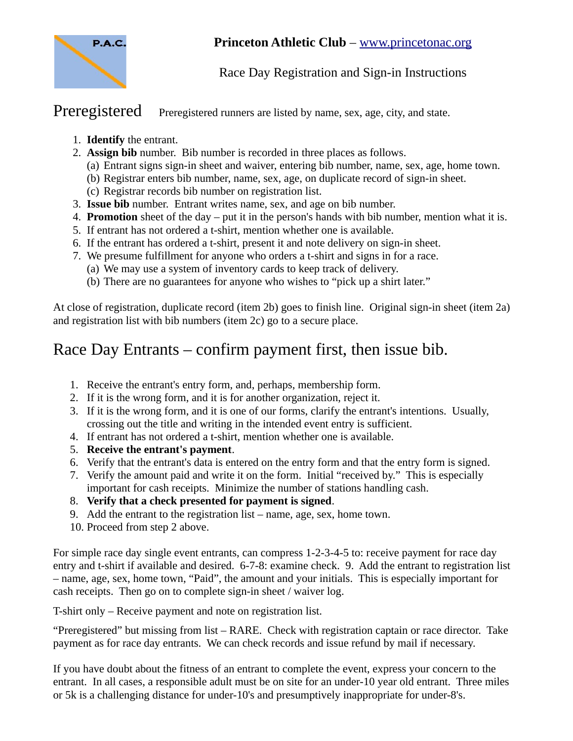

## **Princeton Athletic Club** – [www.princetonac.org](http://www.princetonac.org/)

## Race Day Registration and Sign-in Instructions

Preregistered Preregistered runners are listed by name, sex, age, city, and state.

- 1. **Identify** the entrant.
- 2. **Assign bib** number. Bib number is recorded in three places as follows.
	- (a) Entrant signs sign-in sheet and waiver, entering bib number, name, sex, age, home town.
	- (b) Registrar enters bib number, name, sex, age, on duplicate record of sign-in sheet.
	- (c) Registrar records bib number on registration list.
- 3. **Issue bib** number. Entrant writes name, sex, and age on bib number.
- 4. **Promotion** sheet of the day put it in the person's hands with bib number, mention what it is.
- 5. If entrant has not ordered a t-shirt, mention whether one is available.
- 6. If the entrant has ordered a t-shirt, present it and note delivery on sign-in sheet.
- 7. We presume fulfillment for anyone who orders a t-shirt and signs in for a race.
	- (a) We may use a system of inventory cards to keep track of delivery.
	- (b) There are no guarantees for anyone who wishes to "pick up a shirt later."

At close of registration, duplicate record (item 2b) goes to finish line. Original sign-in sheet (item 2a) and registration list with bib numbers (item 2c) go to a secure place.

## Race Day Entrants – confirm payment first, then issue bib.

- 1. Receive the entrant's entry form, and, perhaps, membership form.
- 2. If it is the wrong form, and it is for another organization, reject it.
- 3. If it is the wrong form, and it is one of our forms, clarify the entrant's intentions. Usually, crossing out the title and writing in the intended event entry is sufficient.
- 4. If entrant has not ordered a t-shirt, mention whether one is available.
- 5. **Receive the entrant's payment**.
- 6. Verify that the entrant's data is entered on the entry form and that the entry form is signed.
- 7. Verify the amount paid and write it on the form. Initial "received by." This is especially important for cash receipts. Minimize the number of stations handling cash.
- 8. **Verify that a check presented for payment is signed**.
- 9. Add the entrant to the registration list name, age, sex, home town.
- 10. Proceed from step 2 above.

For simple race day single event entrants, can compress 1-2-3-4-5 to: receive payment for race day entry and t-shirt if available and desired. 6-7-8: examine check. 9. Add the entrant to registration list – name, age, sex, home town, "Paid", the amount and your initials. This is especially important for cash receipts. Then go on to complete sign-in sheet / waiver log.

T-shirt only – Receive payment and note on registration list.

"Preregistered" but missing from list – RARE. Check with registration captain or race director. Take payment as for race day entrants. We can check records and issue refund by mail if necessary.

If you have doubt about the fitness of an entrant to complete the event, express your concern to the entrant. In all cases, a responsible adult must be on site for an under-10 year old entrant. Three miles or 5k is a challenging distance for under-10's and presumptively inappropriate for under-8's.